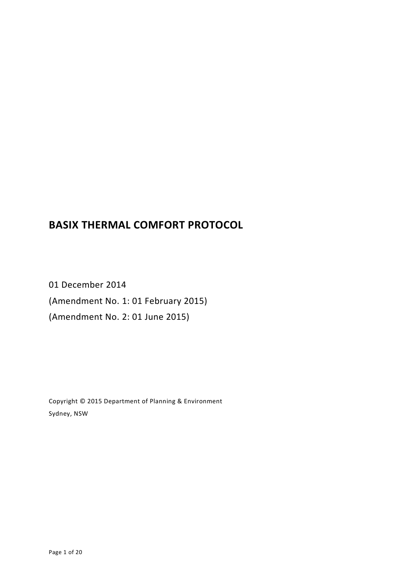# **BASIX THERMAL COMFORT PROTOCOL**

01 December 2014 (Amendment No. 1: 01 February 2015) (Amendment No. 2: 01 June 2015)

Copyright © 2015 Department of Planning & Environment Sydney, NSW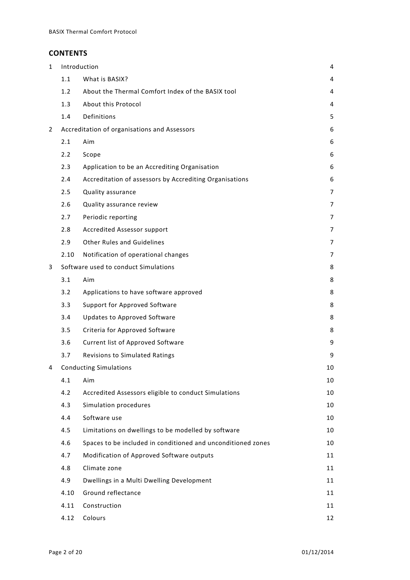# **CONTENTS**

| $\mathbf{1}$ | Introduction                                 |                                                              |    |  |  |  |  |
|--------------|----------------------------------------------|--------------------------------------------------------------|----|--|--|--|--|
|              | 1.1<br>What is BASIX?                        |                                                              |    |  |  |  |  |
|              | 1.2                                          | About the Thermal Comfort Index of the BASIX tool            | 4  |  |  |  |  |
|              | 1.3                                          | About this Protocol                                          |    |  |  |  |  |
|              | 1.4                                          | 5                                                            |    |  |  |  |  |
| 2            | Accreditation of organisations and Assessors |                                                              |    |  |  |  |  |
|              | 2.1                                          | Aim                                                          | 6  |  |  |  |  |
|              | 2.2                                          | Scope                                                        | 6  |  |  |  |  |
|              | 2.3                                          | Application to be an Accrediting Organisation                | 6  |  |  |  |  |
|              | 2.4                                          | Accreditation of assessors by Accrediting Organisations      | 6  |  |  |  |  |
|              | 2.5                                          | Quality assurance                                            | 7  |  |  |  |  |
|              | 2.6                                          | Quality assurance review                                     | 7  |  |  |  |  |
|              | 2.7                                          | Periodic reporting                                           | 7  |  |  |  |  |
|              | 2.8                                          | Accredited Assessor support                                  | 7  |  |  |  |  |
|              | 2.9                                          | <b>Other Rules and Guidelines</b>                            | 7  |  |  |  |  |
|              | 2.10                                         | Notification of operational changes                          | 7  |  |  |  |  |
| 3            | Software used to conduct Simulations         |                                                              |    |  |  |  |  |
|              | 3.1                                          | Aim                                                          | 8  |  |  |  |  |
|              | 3.2                                          | Applications to have software approved                       | 8  |  |  |  |  |
|              | 3.3                                          | Support for Approved Software                                | 8  |  |  |  |  |
|              | 3.4                                          | Updates to Approved Software                                 | 8  |  |  |  |  |
|              | 3.5                                          | Criteria for Approved Software                               | 8  |  |  |  |  |
|              | 3.6                                          | Current list of Approved Software                            | 9  |  |  |  |  |
|              | 3.7                                          | Revisions to Simulated Ratings                               | 9  |  |  |  |  |
| 4            |                                              | <b>Conducting Simulations</b>                                | 10 |  |  |  |  |
|              | 4.1                                          | Aim                                                          | 10 |  |  |  |  |
|              | 4.2                                          | Accredited Assessors eligible to conduct Simulations         | 10 |  |  |  |  |
|              | 4.3                                          | Simulation procedures                                        | 10 |  |  |  |  |
|              | 4.4                                          | Software use                                                 | 10 |  |  |  |  |
|              | 4.5                                          | Limitations on dwellings to be modelled by software          | 10 |  |  |  |  |
|              | 4.6                                          | Spaces to be included in conditioned and unconditioned zones | 10 |  |  |  |  |
|              | 4.7                                          | Modification of Approved Software outputs                    | 11 |  |  |  |  |
|              | 4.8                                          | Climate zone                                                 | 11 |  |  |  |  |
|              | 4.9                                          | Dwellings in a Multi Dwelling Development                    | 11 |  |  |  |  |
|              | 4.10                                         | Ground reflectance                                           | 11 |  |  |  |  |
|              | 4.11                                         | Construction                                                 | 11 |  |  |  |  |
|              | 4.12                                         | Colours                                                      | 12 |  |  |  |  |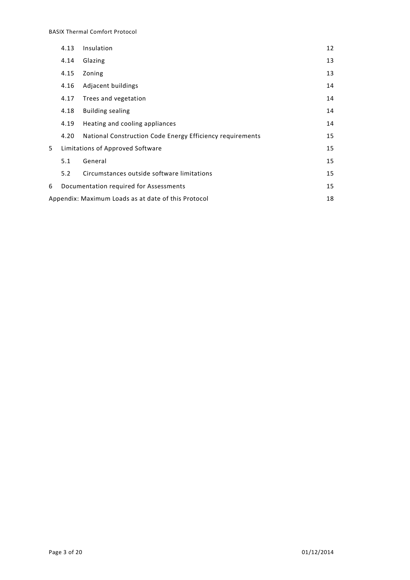|   | Insulation<br>4.13                                        |                                                           |    |  |  |  |
|---|-----------------------------------------------------------|-----------------------------------------------------------|----|--|--|--|
|   | 4.14                                                      | Glazing                                                   | 13 |  |  |  |
|   | 4.15                                                      | Zoning                                                    | 13 |  |  |  |
|   | 4.16                                                      | Adjacent buildings                                        | 14 |  |  |  |
|   | 4.17                                                      | Trees and vegetation                                      | 14 |  |  |  |
|   | 4.18                                                      | <b>Building sealing</b>                                   | 14 |  |  |  |
|   | 4.19                                                      | Heating and cooling appliances                            | 14 |  |  |  |
|   | 4.20                                                      | National Construction Code Energy Efficiency requirements | 15 |  |  |  |
| 5 |                                                           | Limitations of Approved Software                          | 15 |  |  |  |
|   | 5.1                                                       | General                                                   | 15 |  |  |  |
|   | 5.2                                                       | Circumstances outside software limitations                | 15 |  |  |  |
| 6 |                                                           | Documentation required for Assessments                    | 15 |  |  |  |
|   | Appendix: Maximum Loads as at date of this Protocol<br>18 |                                                           |    |  |  |  |
|   |                                                           |                                                           |    |  |  |  |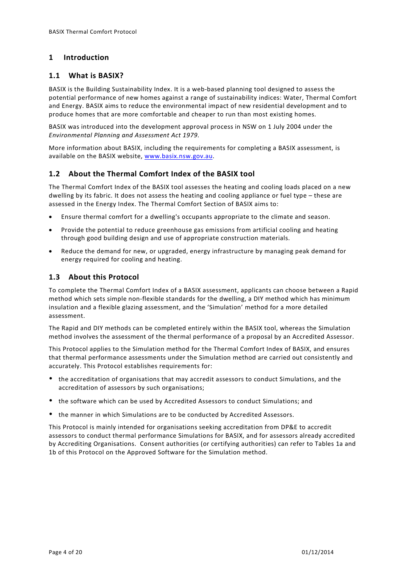# <span id="page-3-0"></span>**1 Introduction**

### <span id="page-3-1"></span>**1.1 What is BASIX?**

BASIX is the Building Sustainability Index. It is a web-based planning tool designed to assess the potential performance of new homes against a range of sustainability indices: Water, Thermal Comfort and Energy. BASIX aims to reduce the environmental impact of new residential development and to produce homes that are more comfortable and cheaper to run than most existing homes.

BASIX was introduced into the development approval process in NSW on 1 July 2004 under the *Environmental Planning and Assessment Act 1979*.

More information about BASIX, including the requirements for completing a BASIX assessment, is available on the BASIX website, [www.basix.nsw.gov.au.](http://www.basix.nsw.gov.au/)

# <span id="page-3-2"></span>**1.2 About the Thermal Comfort Index of the BASIX tool**

The Thermal Comfort Index of the BASIX tool assesses the heating and cooling loads placed on a new dwelling by its fabric. It does not assess the heating and cooling appliance or fuel type – these are assessed in the Energy Index. The Thermal Comfort Section of BASIX aims to:

- Ensure thermal comfort for a dwelling's occupants appropriate to the climate and season.
- Provide the potential to reduce greenhouse gas emissions from artificial cooling and heating through good building design and use of appropriate construction materials.
- Reduce the demand for new, or upgraded, energy infrastructure by managing peak demand for energy required for cooling and heating.

### <span id="page-3-3"></span>**1.3 About this Protocol**

To complete the Thermal Comfort Index of a BASIX assessment, applicants can choose between a Rapid method which sets simple non-flexible standards for the dwelling, a DIY method which has minimum insulation and a flexible glazing assessment, and the 'Simulation' method for a more detailed assessment.

The Rapid and DIY methods can be completed entirely within the BASIX tool, whereas the Simulation method involves the assessment of the thermal performance of a proposal by an Accredited Assessor.

This Protocol applies to the Simulation method for the Thermal Comfort Index of BASIX, and ensures that thermal performance assessments under the Simulation method are carried out consistently and accurately. This Protocol establishes requirements for:

- the accreditation of organisations that may accredit assessors to conduct Simulations, and the accreditation of assessors by such organisations;
- the software which can be used by Accredited Assessors to conduct Simulations; and
- the manner in which Simulations are to be conducted by Accredited Assessors.

This Protocol is mainly intended for organisations seeking accreditation from DP&E to accredit assessors to conduct thermal performance Simulations for BASIX, and for assessors already accredited by Accrediting Organisations. Consent authorities (or certifying authorities) can refer to Tables 1a and 1b of this Protocol on the Approved Software for the Simulation method.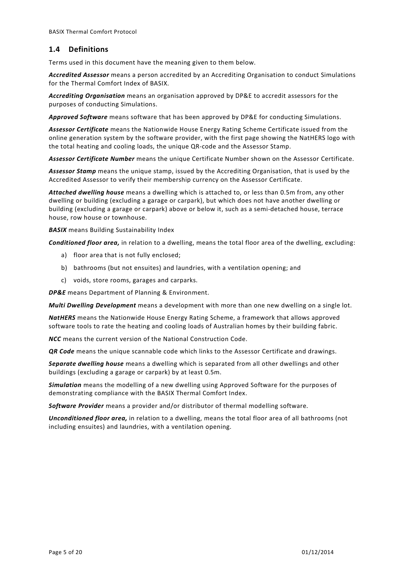# <span id="page-4-0"></span>**1.4 Definitions**

Terms used in this document have the meaning given to them below.

*Accredited Assessor* means a person accredited by an Accrediting Organisation to conduct Simulations for the Thermal Comfort Index of BASIX.

*Accrediting Organisation* means an organisation approved by DP&E to accredit assessors for the purposes of conducting Simulations.

*Approved Software* means software that has been approved by DP&E for conducting Simulations.

*Assessor Certificate* means the Nationwide House Energy Rating Scheme Certificate issued from the online generation system by the software provider, with the first page showing the NatHERS logo with the total heating and cooling loads, the unique QR-code and the Assessor Stamp.

*Assessor Certificate Number* means the unique Certificate Number shown on the Assessor Certificate.

*Assessor Stamp* means the unique stamp, issued by the Accrediting Organisation, that is used by the Accredited Assessor to verify their membership currency on the Assessor Certificate.

*Attached dwelling house* means a dwelling which is attached to, or less than 0.5m from, any other dwelling or building (excluding a garage or carpark), but which does not have another dwelling or building (excluding a garage or carpark) above or below it, such as a semi-detached house, terrace house, row house or townhouse.

*BASIX* means Building Sustainability Index

*Conditioned floor area,* in relation to a dwelling, means the total floor area of the dwelling, excluding:

- a) floor area that is not fully enclosed;
- b) bathrooms (but not ensuites) and laundries, with a ventilation opening; and
- c) voids, store rooms, garages and carparks.

*DP&E* means Department of Planning & Environment.

*Multi Dwelling Development* means a development with more than one new dwelling on a single lot.

*NatHERS* means the Nationwide House Energy Rating Scheme, a framework that allows approved software tools to rate the heating and cooling loads of Australian homes by their building fabric.

*NCC* means the current version of the National Construction Code.

*QR Code* means the unique scannable code which links to the Assessor Certificate and drawings.

*Separate dwelling house* means a dwelling which is separated from all other dwellings and other buildings (excluding a garage or carpark) by at least 0.5m.

*Simulation* means the modelling of a new dwelling using Approved Software for the purposes of demonstrating compliance with the BASIX Thermal Comfort Index.

*Software Provider* means a provider and/or distributor of thermal modelling software.

*Unconditioned floor area,* in relation to a dwelling, means the total floor area of all bathrooms (not including ensuites) and laundries, with a ventilation opening.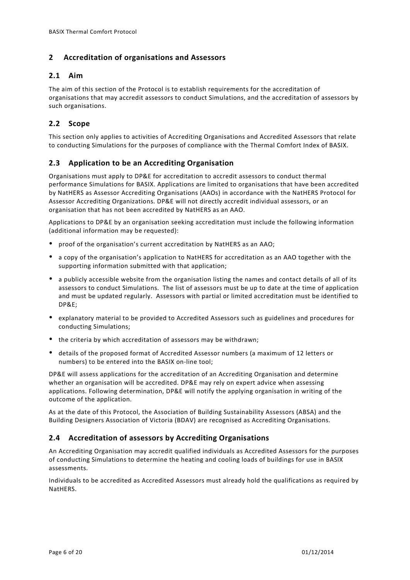# <span id="page-5-0"></span>**2 Accreditation of organisations and Assessors**

# <span id="page-5-1"></span>**2.1 Aim**

The aim of this section of the Protocol is to establish requirements for the accreditation of organisations that may accredit assessors to conduct Simulations, and the accreditation of assessors by such organisations.

# <span id="page-5-2"></span>**2.2 Scope**

This section only applies to activities of Accrediting Organisations and Accredited Assessors that relate to conducting Simulations for the purposes of compliance with the Thermal Comfort Index of BASIX.

# <span id="page-5-3"></span>**2.3 Application to be an Accrediting Organisation**

Organisations must apply to DP&E for accreditation to accredit assessors to conduct thermal performance Simulations for BASIX. Applications are limited to organisations that have been accredited by NatHERS as Assessor Accrediting Organisations (AAOs) in accordance with the NatHERS Protocol for Assessor Accrediting Organizations. DP&E will not directly accredit individual assessors, or an organisation that has not been accredited by NatHERS as an AAO.

Applications to DP&E by an organisation seeking accreditation must include the following information (additional information may be requested):

- proof of the organisation's current accreditation by NatHERS as an AAO;
- a copy of the organisation's application to NatHERS for accreditation as an AAO together with the supporting information submitted with that application;
- a publicly accessible website from the organisation listing the names and contact details of all of its assessors to conduct Simulations. The list of assessors must be up to date at the time of application and must be updated regularly. Assessors with partial or limited accreditation must be identified to DP&E;
- explanatory material to be provided to Accredited Assessors such as guidelines and procedures for conducting Simulations;
- the criteria by which accreditation of assessors may be withdrawn;
- details of the proposed format of Accredited Assessor numbers (a maximum of 12 letters or numbers) to be entered into the BASIX on-line tool;

DP&E will assess applications for the accreditation of an Accrediting Organisation and determine whether an organisation will be accredited. DP&E may rely on expert advice when assessing applications. Following determination, DP&E will notify the applying organisation in writing of the outcome of the application.

As at the date of this Protocol, the Association of Building Sustainability Assessors (ABSA) and the Building Designers Association of Victoria (BDAV) are recognised as Accrediting Organisations.

# <span id="page-5-4"></span>**2.4 Accreditation of assessors by Accrediting Organisations**

An Accrediting Organisation may accredit qualified individuals as Accredited Assessors for the purposes of conducting Simulations to determine the heating and cooling loads of buildings for use in BASIX assessments.

Individuals to be accredited as Accredited Assessors must already hold the qualifications as required by NatHERS.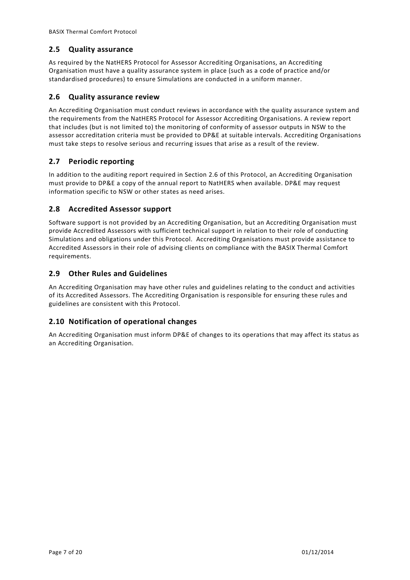# <span id="page-6-0"></span>**2.5 Quality assurance**

As required by the NatHERS Protocol for Assessor Accrediting Organisations, an Accrediting Organisation must have a quality assurance system in place (such as a code of practice and/or standardised procedures) to ensure Simulations are conducted in a uniform manner.

# <span id="page-6-1"></span>**2.6 Quality assurance review**

An Accrediting Organisation must conduct reviews in accordance with the quality assurance system and the requirements from the NatHERS Protocol for Assessor Accrediting Organisations. A review report that includes (but is not limited to) the monitoring of conformity of assessor outputs in NSW to the assessor accreditation criteria must be provided to DP&E at suitable intervals. Accrediting Organisations must take steps to resolve serious and recurring issues that arise as a result of the review.

# <span id="page-6-2"></span>**2.7 Periodic reporting**

In addition to the auditing report required in Section 2.6 of this Protocol, an Accrediting Organisation must provide to DP&E a copy of the annual report to NatHERS when available. DP&E may request information specific to NSW or other states as need arises.

# <span id="page-6-3"></span>**2.8 Accredited Assessor support**

Software support is not provided by an Accrediting Organisation, but an Accrediting Organisation must provide Accredited Assessors with sufficient technical support in relation to their role of conducting Simulations and obligations under this Protocol. Accrediting Organisations must provide assistance to Accredited Assessors in their role of advising clients on compliance with the BASIX Thermal Comfort requirements.

# <span id="page-6-4"></span>**2.9 Other Rules and Guidelines**

An Accrediting Organisation may have other rules and guidelines relating to the conduct and activities of its Accredited Assessors. The Accrediting Organisation is responsible for ensuring these rules and guidelines are consistent with this Protocol.

# <span id="page-6-5"></span>**2.10 Notification of operational changes**

An Accrediting Organisation must inform DP&E of changes to its operations that may affect its status as an Accrediting Organisation.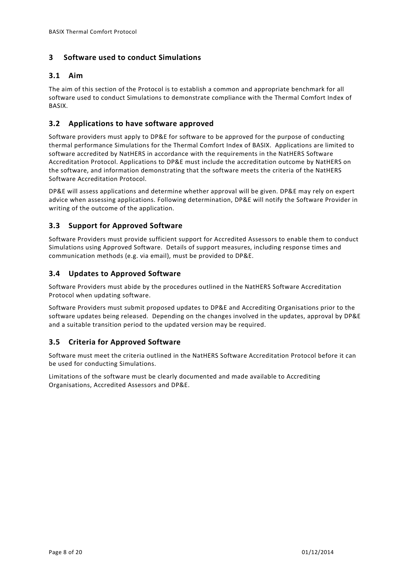# <span id="page-7-0"></span>**3 Software used to conduct Simulations**

# <span id="page-7-1"></span>**3.1 Aim**

The aim of this section of the Protocol is to establish a common and appropriate benchmark for all software used to conduct Simulations to demonstrate compliance with the Thermal Comfort Index of BASIX.

# <span id="page-7-2"></span>**3.2 Applications to have software approved**

Software providers must apply to DP&E for software to be approved for the purpose of conducting thermal performance Simulations for the Thermal Comfort Index of BASIX. Applications are limited to software accredited by NatHERS in accordance with the requirements in the NatHERS Software Accreditation Protocol. Applications to DP&E must include the accreditation outcome by NatHERS on the software, and information demonstrating that the software meets the criteria of the NatHERS Software Accreditation Protocol.

DP&E will assess applications and determine whether approval will be given. DP&E may rely on expert advice when assessing applications. Following determination, DP&E will notify the Software Provider in writing of the outcome of the application.

# <span id="page-7-3"></span>**3.3 Support for Approved Software**

Software Providers must provide sufficient support for Accredited Assessors to enable them to conduct Simulations using Approved Software. Details of support measures, including response times and communication methods (e.g. via email), must be provided to DP&E.

# <span id="page-7-4"></span>**3.4 Updates to Approved Software**

Software Providers must abide by the procedures outlined in the NatHERS Software Accreditation Protocol when updating software.

Software Providers must submit proposed updates to DP&E and Accrediting Organisations prior to the software updates being released. Depending on the changes involved in the updates, approval by DP&E and a suitable transition period to the updated version may be required.

# <span id="page-7-5"></span>**3.5 Criteria for Approved Software**

Software must meet the criteria outlined in the NatHERS Software Accreditation Protocol before it can be used for conducting Simulations.

Limitations of the software must be clearly documented and made available to Accrediting Organisations, Accredited Assessors and DP&E.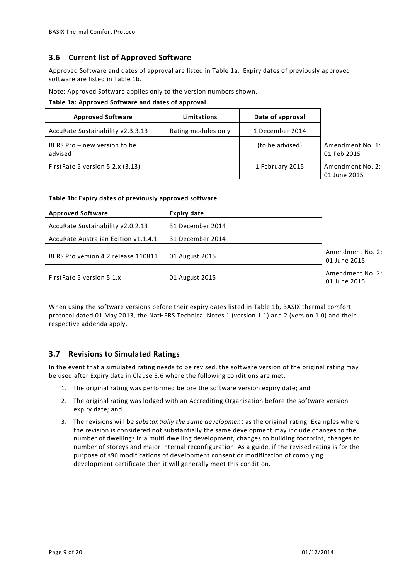#### <span id="page-8-0"></span>**3.6 Current list of Approved Software**

Approved Software and dates of approval are listed in Table 1a. Expiry dates of previously approved software are listed in Table 1b.

Note: Approved Software applies only to the version numbers shown.

**Table 1a: Approved Software and dates of approval**

**Table 1b: Expiry dates of previously approved software**

| <b>Approved Software</b>                | Limitations         | Date of approval |                                  |
|-----------------------------------------|---------------------|------------------|----------------------------------|
| AccuRate Sustainability v2.3.3.13       | Rating modules only | 1 December 2014  |                                  |
| BERS Pro - new version to be<br>advised |                     | (to be advised)  | Amendment No. 1:<br>01 Feb 2015  |
| FirstRate 5 version 5.2.x (3.13)        |                     | 1 February 2015  | Amendment No. 2:<br>01 June 2015 |

| <b>Approved Software</b>             | <b>Expiry date</b> |                                  |
|--------------------------------------|--------------------|----------------------------------|
| AccuRate Sustainability v2.0.2.13    | 31 December 2014   |                                  |
| AccuRate Australian Edition v1.1.4.1 | 31 December 2014   |                                  |
| BERS Pro version 4.2 release 110811  | 01 August 2015     | Amendment No. 2:<br>01 June 2015 |
| FirstRate 5 version 5.1.x            | 01 August 2015     | Amendment No. 2:<br>01 June 2015 |

When using the software versions before their expiry dates listed in Table 1b, BASIX thermal comfort protocol dated 01 May 2013, the NatHERS Technical Notes 1 (version 1.1) and 2 (version 1.0) and their respective addenda apply.

### <span id="page-8-1"></span>**3.7 Revisions to Simulated Ratings**

In the event that a simulated rating needs to be revised, the software version of the original rating may be used after Expiry date in Clause 3.6 where the following conditions are met:

- 1. The original rating was performed before the software version expiry date; and
- 2. The original rating was lodged with an Accrediting Organisation before the software version expiry date; and
- 3. The revisions will be *substantially the same development* as the original rating. Examples where the revision is considered not substantially the same development may include changes to the number of dwellings in a multi dwelling development, changes to building footprint, changes to number of storeys and major internal reconfiguration. As a guide, if the revised rating is for the purpose of s96 modifications of development consent or modification of complying development certificate then it will generally meet this condition.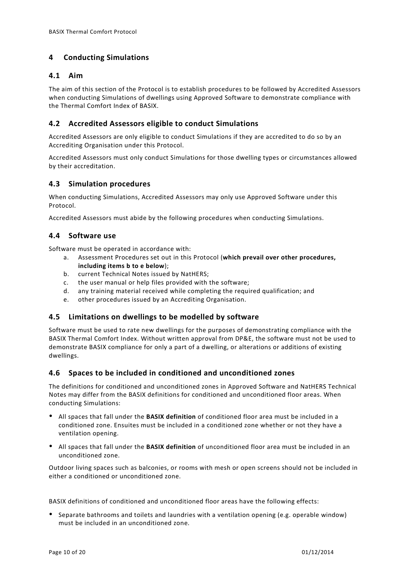# <span id="page-9-0"></span>**4 Conducting Simulations**

### <span id="page-9-1"></span>**4.1 Aim**

The aim of this section of the Protocol is to establish procedures to be followed by Accredited Assessors when conducting Simulations of dwellings using Approved Software to demonstrate compliance with the Thermal Comfort Index of BASIX.

# <span id="page-9-2"></span>**4.2 Accredited Assessors eligible to conduct Simulations**

Accredited Assessors are only eligible to conduct Simulations if they are accredited to do so by an Accrediting Organisation under this Protocol.

Accredited Assessors must only conduct Simulations for those dwelling types or circumstances allowed by their accreditation.

# <span id="page-9-3"></span>**4.3 Simulation procedures**

When conducting Simulations, Accredited Assessors may only use Approved Software under this Protocol.

<span id="page-9-4"></span>Accredited Assessors must abide by the following procedures when conducting Simulations.

# **4.4 Software use**

Software must be operated in accordance with:

- a. Assessment Procedures set out in this Protocol (**which prevail over other procedures, including items b to e below**);
- b. current Technical Notes issued by NatHERS;
- c. the user manual or help files provided with the software;
- d. any training material received while completing the required qualification; and
- e. other procedures issued by an Accrediting Organisation.

### <span id="page-9-5"></span>**4.5 Limitations on dwellings to be modelled by software**

Software must be used to rate new dwellings for the purposes of demonstrating compliance with the BASIX Thermal Comfort Index. Without written approval from DP&E, the software must not be used to demonstrate BASIX compliance for only a part of a dwelling, or alterations or additions of existing dwellings.

### <span id="page-9-6"></span>**4.6 Spaces to be included in conditioned and unconditioned zones**

The definitions for conditioned and unconditioned zones in Approved Software and NatHERS Technical Notes may differ from the BASIX definitions for conditioned and unconditioned floor areas. When conducting Simulations:

- All spaces that fall under the **BASIX definition** of conditioned floor area must be included in a conditioned zone. Ensuites must be included in a conditioned zone whether or not they have a ventilation opening.
- All spaces that fall under the **BASIX definition** of unconditioned floor area must be included in an unconditioned zone.

Outdoor living spaces such as balconies, or rooms with mesh or open screens should not be included in either a conditioned or unconditioned zone.

BASIX definitions of conditioned and unconditioned floor areas have the following effects:

 Separate bathrooms and toilets and laundries with a ventilation opening (e.g. operable window) must be included in an unconditioned zone.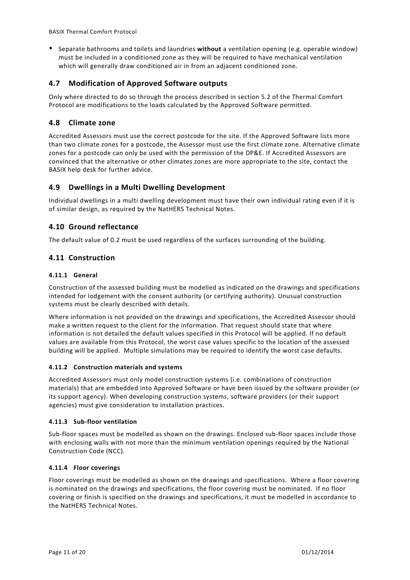Separate bathrooms and toilets and laundries **without** a ventilation opening (e.g. operable window) must be included in a conditioned zone as they will be required to have mechanical ventilation which will generally draw conditioned air in from an adjacent conditioned zone.

### <span id="page-10-0"></span>**4.7 Modification of Approved Software outputs**

Only where directed to do so through the process described in section 5.2 of the Thermal Comfort Protocol are modifications to the loads calculated by the Approved Software permitted.

### <span id="page-10-1"></span>**4.8 Climate zone**

Accredited Assessors must use the correct postcode for the site. If the Approved Software lists more than two climate zones for a postcode, the Assessor must use the first climate zone. Alternative climate zones for a postcode can only be used with the permission of the DP&E. If Accredited Assessors are convinced that the alternative or other climates zones are more appropriate to the site, contact the BASIX help desk for further advice.

# <span id="page-10-2"></span>**4.9 Dwellings in a Multi Dwelling Development**

Individual dwellings in a multi dwelling development must have their own individual rating even if it is of similar design, as required by the NatHERS Technical Notes.

# <span id="page-10-3"></span>**4.10 Ground reflectance**

<span id="page-10-4"></span>The default value of 0.2 must be used regardless of the surfaces surrounding of the building.

# **4.11 Construction**

#### **4.11.1 General**

Construction of the assessed building must be modelled as indicated on the drawings and specifications intended for lodgement with the consent authority (or certifying authority). Unusual construction systems must be clearly described with details.

Where information is not provided on the drawings and specifications, the Accredited Assessor should make a written request to the client for the information. That request should state that where information is not detailed the default values specified in this Protocol will be applied. If no default values are available from this Protocol, the worst case values specific to the location of the assessed building will be applied. Multiple simulations may be required to identify the worst case defaults.

#### **4.11.2 Construction materials and systems**

Accredited Assessors must only model construction systems (i.e. combinations of construction materials) that are embedded into Approved Software or have been issued by the software provider (or its support agency). When developing construction systems, software providers (or their support agencies) must give consideration to installation practices.

#### **4.11.3 Sub-floor ventilation**

Sub-floor spaces must be modelled as shown on the drawings. Enclosed sub-floor spaces include those with enclosing walls with not more than the minimum ventilation openings required by the National Construction Code (NCC).

#### **4.11.4 Floor coverings**

Floor coverings must be modelled as shown on the drawings and specifications. Where a floor covering is nominated on the drawings and specifications, the floor covering must be nominated. If no floor covering or finish is specified on the drawings and specifications, it must be modelled in accordance to the NatHERS Technical Notes.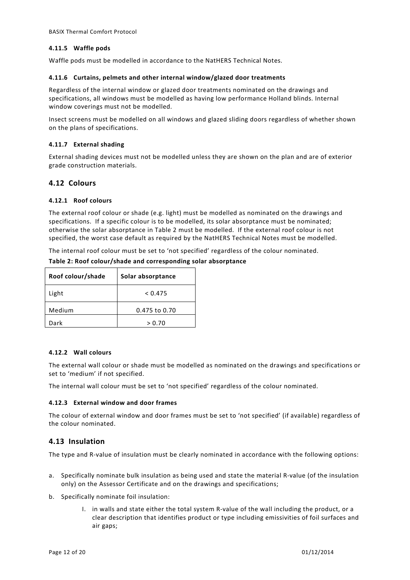#### **4.11.5 Waffle pods**

Waffle pods must be modelled in accordance to the NatHERS Technical Notes.

#### **4.11.6 Curtains, pelmets and other internal window/glazed door treatments**

Regardless of the internal window or glazed door treatments nominated on the drawings and specifications, all windows must be modelled as having low performance Holland blinds. Internal window coverings must not be modelled.

Insect screens must be modelled on all windows and glazed sliding doors regardless of whether shown on the plans of specifications.

#### **4.11.7 External shading**

External shading devices must not be modelled unless they are shown on the plan and are of exterior grade construction materials.

### <span id="page-11-0"></span>**4.12 Colours**

#### **4.12.1 Roof colours**

The external roof colour or shade (e.g. light) must be modelled as nominated on the drawings and specifications. If a specific colour is to be modelled, its solar absorptance must be nominated; otherwise the solar absorptance in Table 2 must be modelled. If the external roof colour is not specified, the worst case default as required by the NatHERS Technical Notes must be modelled.

The internal roof colour must be set to 'not specified' regardless of the colour nominated.

| Roof colour/shade | Solar absorptance |  |  |  |
|-------------------|-------------------|--|--|--|
| Light             | < 0.475           |  |  |  |
| Medium            | 0.475 to 0.70     |  |  |  |
| Dark              | > 0.70            |  |  |  |

**Table 2: Roof colour/shade and corresponding solar absorptance**

#### **4.12.2 Wall colours**

The external wall colour or shade must be modelled as nominated on the drawings and specifications or set to 'medium' if not specified.

The internal wall colour must be set to 'not specified' regardless of the colour nominated.

#### **4.12.3 External window and door frames**

The colour of external window and door frames must be set to 'not specified' (if available) regardless of the colour nominated.

### <span id="page-11-1"></span>**4.13 Insulation**

The type and R-value of insulation must be clearly nominated in accordance with the following options:

- a. Specifically nominate bulk insulation as being used and state the material R-value (of the insulation only) on the Assessor Certificate and on the drawings and specifications;
- b. Specifically nominate foil insulation:
	- I. in walls and state either the total system R-value of the wall including the product, or a clear description that identifies product or type including emissivities of foil surfaces and air gaps;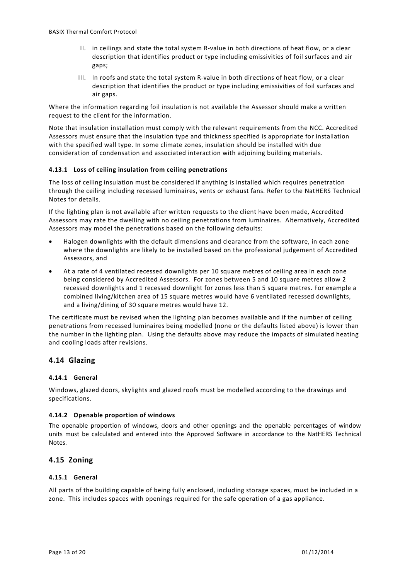- II. in ceilings and state the total system R-value in both directions of heat flow, or a clear description that identifies product or type including emissivities of foil surfaces and air gaps;
- III. In roofs and state the total system R-value in both directions of heat flow, or a clear description that identifies the product or type including emissivities of foil surfaces and air gaps.

Where the information regarding foil insulation is not available the Assessor should make a written request to the client for the information.

Note that insulation installation must comply with the relevant requirements from the NCC. Accredited Assessors must ensure that the insulation type and thickness specified is appropriate for installation with the specified wall type. In some climate zones, insulation should be installed with due consideration of condensation and associated interaction with adjoining building materials.

#### **4.13.1 Loss of ceiling insulation from ceiling penetrations**

The loss of ceiling insulation must be considered if anything is installed which requires penetration through the ceiling including recessed luminaires, vents or exhaust fans. Refer to the NatHERS Technical Notes for details.

If the lighting plan is not available after written requests to the client have been made, Accredited Assessors may rate the dwelling with no ceiling penetrations from luminaires. Alternatively, Accredited Assessors may model the penetrations based on the following defaults:

- Halogen downlights with the default dimensions and clearance from the software, in each zone where the downlights are likely to be installed based on the professional judgement of Accredited Assessors, and
- At a rate of 4 ventilated recessed downlights per 10 square metres of ceiling area in each zone being considered by Accredited Assessors. For zones between 5 and 10 square metres allow 2 recessed downlights and 1 recessed downlight for zones less than 5 square metres. For example a combined living/kitchen area of 15 square metres would have 6 ventilated recessed downlights, and a living/dining of 30 square metres would have 12.

The certificate must be revised when the lighting plan becomes available and if the number of ceiling penetrations from recessed luminaires being modelled (none or the defaults listed above) is lower than the number in the lighting plan. Using the defaults above may reduce the impacts of simulated heating and cooling loads after revisions.

### <span id="page-12-0"></span>**4.14 Glazing**

#### **4.14.1 General**

Windows, glazed doors, skylights and glazed roofs must be modelled according to the drawings and specifications.

#### **4.14.2 Openable proportion of windows**

The openable proportion of windows, doors and other openings and the openable percentages of window units must be calculated and entered into the Approved Software in accordance to the NatHERS Technical Notes.

### <span id="page-12-1"></span>**4.15 Zoning**

#### **4.15.1 General**

All parts of the building capable of being fully enclosed, including storage spaces, must be included in a zone. This includes spaces with openings required for the safe operation of a gas appliance.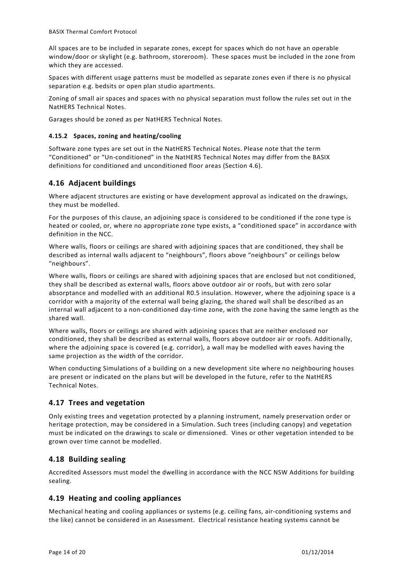All spaces are to be included in separate zones, except for spaces which do not have an operable window/door or skylight (e.g. bathroom, storeroom). These spaces must be included in the zone from which they are accessed.

Spaces with different usage patterns must be modelled as separate zones even if there is no physical separation e.g. bedsits or open plan studio apartments.

Zoning of small air spaces and spaces with no physical separation must follow the rules set out in the NatHERS Technical Notes.

Garages should be zoned as per NatHERS Technical Notes.

#### **4.15.2 Spaces, zoning and heating/cooling**

Software zone types are set out in the NatHERS Technical Notes. Please note that the term "Conditioned" or "Un-conditioned" in the NatHERS Technical Notes may differ from the BASIX definitions for conditioned and unconditioned floor areas (Section 4.6).

# <span id="page-13-0"></span>**4.16 Adjacent buildings**

Where adjacent structures are existing or have development approval as indicated on the drawings, they must be modelled.

For the purposes of this clause, an adjoining space is considered to be conditioned if the zone type is heated or cooled, or, where no appropriate zone type exists, a "conditioned space" in accordance with definition in the NCC.

Where walls, floors or ceilings are shared with adjoining spaces that are conditioned, they shall be described as internal walls adjacent to "neighbours", floors above "neighbours" or ceilings below "neighbours".

Where walls, floors or ceilings are shared with adjoining spaces that are enclosed but not conditioned, they shall be described as external walls, floors above outdoor air or roofs, but with zero solar absorptance and modelled with an additional R0.5 insulation. However, where the adjoining space is a corridor with a majority of the external wall being glazing, the shared wall shall be described as an internal wall adjacent to a non-conditioned day-time zone, with the zone having the same length as the shared wall.

Where walls, floors or ceilings are shared with adjoining spaces that are neither enclosed nor conditioned, they shall be described as external walls, floors above outdoor air or roofs. Additionally, where the adjoining space is covered (e.g. corridor), a wall may be modelled with eaves having the same projection as the width of the corridor.

When conducting Simulations of a building on a new development site where no neighbouring houses are present or indicated on the plans but will be developed in the future, refer to the NatHERS Technical Notes.

### <span id="page-13-1"></span>**4.17 Trees and vegetation**

Only existing trees and vegetation protected by a planning instrument, namely preservation order or heritage protection, may be considered in a Simulation. Such trees (including canopy) and vegetation must be indicated on the drawings to scale or dimensioned. Vines or other vegetation intended to be grown over time cannot be modelled.

### <span id="page-13-2"></span>**4.18 Building sealing**

Accredited Assessors must model the dwelling in accordance with the NCC NSW Additions for building sealing.

### <span id="page-13-3"></span>**4.19 Heating and cooling appliances**

Mechanical heating and cooling appliances or systems (e.g. ceiling fans, air-conditioning systems and the like) cannot be considered in an Assessment. Electrical resistance heating systems cannot be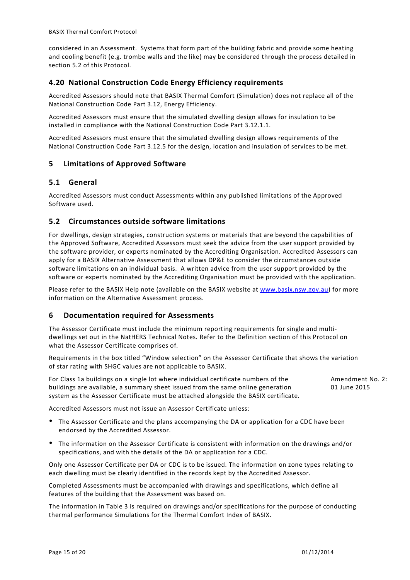considered in an Assessment. Systems that form part of the building fabric and provide some heating and cooling benefit (e.g. trombe walls and the like) may be considered through the process detailed in section 5.2 of this Protocol.

# <span id="page-14-0"></span>**4.20 National Construction Code Energy Efficiency requirements**

Accredited Assessors should note that BASIX Thermal Comfort (Simulation) does not replace all of the National Construction Code Part 3.12, Energy Efficiency.

Accredited Assessors must ensure that the simulated dwelling design allows for insulation to be installed in compliance with the National Construction Code Part 3.12.1.1.

Accredited Assessors must ensure that the simulated dwelling design allows requirements of the National Construction Code Part 3.12.5 for the design, location and insulation of services to be met.

### <span id="page-14-1"></span>**5 Limitations of Approved Software**

### <span id="page-14-2"></span>**5.1 General**

Accredited Assessors must conduct Assessments within any published limitations of the Approved Software used.

### <span id="page-14-3"></span>**5.2 Circumstances outside software limitations**

For dwellings, design strategies, construction systems or materials that are beyond the capabilities of the Approved Software, Accredited Assessors must seek the advice from the user support provided by the software provider, or experts nominated by the Accrediting Organisation. Accredited Assessors can apply for a BASIX Alternative Assessment that allows DP&E to consider the circumstances outside software limitations on an individual basis. A written advice from the user support provided by the software or experts nominated by the Accrediting Organisation must be provided with the application.

Please refer to the BASIX Help note (available on the BASIX website at [www.basix.nsw.gov.au\)](http://www.basix.nsw.gov.au/) for more information on the Alternative Assessment process.

### <span id="page-14-4"></span>**6 Documentation required for Assessments**

The Assessor Certificate must include the minimum reporting requirements for single and multidwellings set out in the NatHERS Technical Notes. Refer to the Definition section of this Protocol on what the Assessor Certificate comprises of.

Requirements in the box titled "Window selection" on the Assessor Certificate that shows the variation of star rating with SHGC values are not applicable to BASIX.

For Class 1a buildings on a single lot where individual certificate numbers of the buildings are available, a summary sheet issued from the same online generation system as the Assessor Certificate must be attached alongside the BASIX certificate. Amendment No. 2: 01 June 2015

Accredited Assessors must not issue an Assessor Certificate unless:

- The Assessor Certificate and the plans accompanying the DA or application for a CDC have been endorsed by the Accredited Assessor.
- The information on the Assessor Certificate is consistent with information on the drawings and/or specifications, and with the details of the DA or application for a CDC.

Only one Assessor Certificate per DA or CDC is to be issued. The information on zone types relating to each dwelling must be clearly identified in the records kept by the Accredited Assessor.

Completed Assessments must be accompanied with drawings and specifications, which define all features of the building that the Assessment was based on.

The information in Table 3 is required on drawings and/or specifications for the purpose of conducting thermal performance Simulations for the Thermal Comfort Index of BASIX.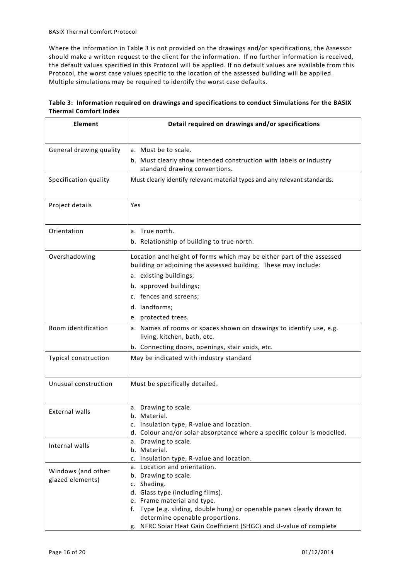Where the information in Table 3 is not provided on the drawings and/or specifications, the Assessor should make a written request to the client for the information. If no further information is received, the default values specified in this Protocol will be applied. If no default values are available from this Protocol, the worst case values specific to the location of the assessed building will be applied. Multiple simulations may be required to identify the worst case defaults.

| Element                                | Detail required on drawings and/or specifications                                                                                                                                                                                                              |
|----------------------------------------|----------------------------------------------------------------------------------------------------------------------------------------------------------------------------------------------------------------------------------------------------------------|
| General drawing quality                | a. Must be to scale.<br>b. Must clearly show intended construction with labels or industry<br>standard drawing conventions.                                                                                                                                    |
| Specification quality                  | Must clearly identify relevant material types and any relevant standards.                                                                                                                                                                                      |
| Project details                        | Yes                                                                                                                                                                                                                                                            |
| Orientation                            | a. True north.<br>b. Relationship of building to true north.                                                                                                                                                                                                   |
| Overshadowing                          | Location and height of forms which may be either part of the assessed<br>building or adjoining the assessed building. These may include:<br>a. existing buildings;<br>b. approved buildings;<br>c. fences and screens;<br>d. landforms;<br>e. protected trees. |
| Room identification                    | a. Names of rooms or spaces shown on drawings to identify use, e.g.<br>living, kitchen, bath, etc.<br>b. Connecting doors, openings, stair voids, etc.                                                                                                         |
| <b>Typical construction</b>            | May be indicated with industry standard                                                                                                                                                                                                                        |
| Unusual construction                   | Must be specifically detailed.                                                                                                                                                                                                                                 |
| <b>External walls</b>                  | a. Drawing to scale.<br>b. Material.<br>Insulation type, R-value and location.<br>d. Colour and/or solar absorptance where a specific colour is modelled.                                                                                                      |
| Internal walls                         | a. Drawing to scale.<br>b. Material.<br>c. Insulation type, R-value and location.                                                                                                                                                                              |
| Windows (and other<br>glazed elements) | a. Location and orientation.<br>b. Drawing to scale.<br>c. Shading.<br>d. Glass type (including films).<br>e. Frame material and type.<br>f. Type (e.g. sliding, double hung) or openable panes clearly drawn to<br>determine openable proportions.            |

g. NFRC Solar Heat Gain Coefficient (SHGC) and U-value of complete

| Table 3: Information required on drawings and specifications to conduct Simulations for the BASIX |  |
|---------------------------------------------------------------------------------------------------|--|
| <b>Thermal Comfort Index</b>                                                                      |  |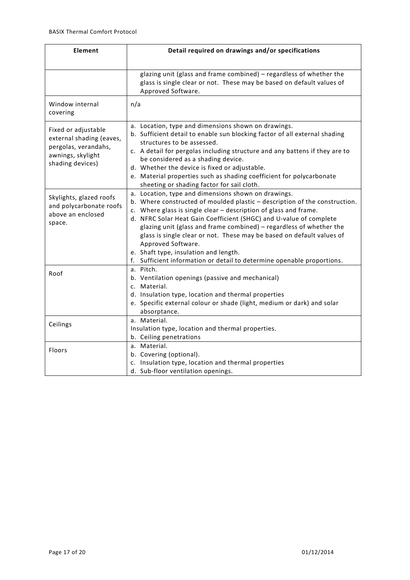| Element                                                                                                          | Detail required on drawings and/or specifications                                                                                                                                                                                                                                                                                                                                                                                                                                                                                                                    |  |  |  |  |
|------------------------------------------------------------------------------------------------------------------|----------------------------------------------------------------------------------------------------------------------------------------------------------------------------------------------------------------------------------------------------------------------------------------------------------------------------------------------------------------------------------------------------------------------------------------------------------------------------------------------------------------------------------------------------------------------|--|--|--|--|
|                                                                                                                  | glazing unit (glass and frame combined) - regardless of whether the<br>glass is single clear or not. These may be based on default values of<br>Approved Software.                                                                                                                                                                                                                                                                                                                                                                                                   |  |  |  |  |
| Window internal<br>covering                                                                                      | n/a                                                                                                                                                                                                                                                                                                                                                                                                                                                                                                                                                                  |  |  |  |  |
| Fixed or adjustable<br>external shading (eaves,<br>pergolas, verandahs,<br>awnings, skylight<br>shading devices) | a. Location, type and dimensions shown on drawings.<br>b. Sufficient detail to enable sun blocking factor of all external shading<br>structures to be assessed.<br>c. A detail for pergolas including structure and any battens if they are to<br>be considered as a shading device.<br>d. Whether the device is fixed or adjustable.<br>e. Material properties such as shading coefficient for polycarbonate<br>sheeting or shading factor for sail cloth.                                                                                                          |  |  |  |  |
| Skylights, glazed roofs<br>and polycarbonate roofs<br>above an enclosed<br>space.                                | a. Location, type and dimensions shown on drawings.<br>b. Where constructed of moulded plastic - description of the construction.<br>c. Where glass is single clear - description of glass and frame.<br>d. NFRC Solar Heat Gain Coefficient (SHGC) and U-value of complete<br>glazing unit (glass and frame combined) - regardless of whether the<br>glass is single clear or not. These may be based on default values of<br>Approved Software.<br>e. Shaft type, insulation and length.<br>f. Sufficient information or detail to determine openable proportions. |  |  |  |  |
| Roof                                                                                                             | a. Pitch.<br>b. Ventilation openings (passive and mechanical)<br>c. Material.<br>d. Insulation type, location and thermal properties<br>e. Specific external colour or shade (light, medium or dark) and solar<br>absorptance.                                                                                                                                                                                                                                                                                                                                       |  |  |  |  |
| Ceilings                                                                                                         | a. Material.<br>Insulation type, location and thermal properties.<br>b. Ceiling penetrations                                                                                                                                                                                                                                                                                                                                                                                                                                                                         |  |  |  |  |
| Floors                                                                                                           | a. Material.<br>b. Covering (optional).<br>c. Insulation type, location and thermal properties<br>d. Sub-floor ventilation openings.                                                                                                                                                                                                                                                                                                                                                                                                                                 |  |  |  |  |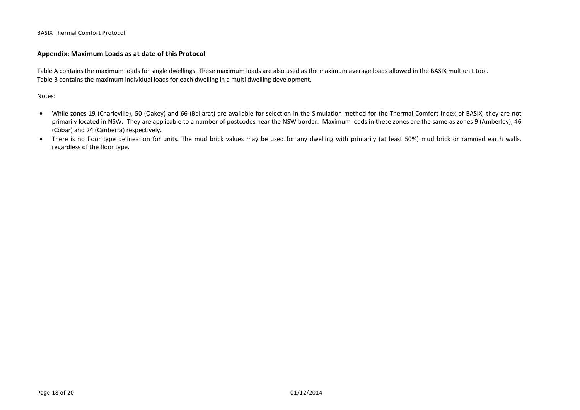#### **Appendix: Maximum Loads as at date of this Protocol**

Table A contains the maximum loads for single dwellings. These maximum loads are also used as the maximum average loads allowed in the BASIX multiunit tool. Table B contains the maximum individual loads for each dwelling in a multi dwelling development.

Notes:

- While zones 19 (Charleville), 50 (Oakey) and 66 (Ballarat) are available for selection in the Simulation method for the Thermal Comfort Index of BASIX, they are not primarily located in NSW. They are applicable to a number of postcodes near the NSW border. Maximum loads in these zones are the same as zones 9 (Amberley), 46 (Cobar) and 24 (Canberra) respectively.
- <span id="page-17-0"></span>• There is no floor type delineation for units. The mud brick values may be used for any dwelling with primarily (at least 50%) mud brick or rammed earth walls, regardless of the floor type.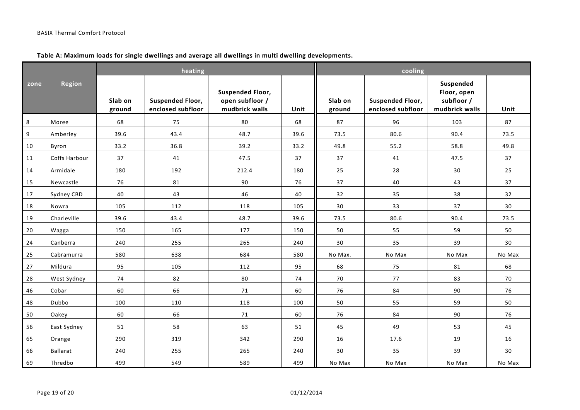#### **heating cooling zone Region Slab on ground Suspended Floor, enclosed subfloor Suspended Floor, open subfloor / mudbrick walls Unit Slab on ground Suspended Floor, enclosed subfloor Suspended Floor, open subfloor / mudbrick walls Unit** 8 || Moree || 68 || 75 || 80 || 68 || 87 || 96 || 103 || 87 9 |Amberley | 39.6 | 43.4 | 48.7 | 39.6 || 73.5 | 80.6 | 90.4 | 73.5 10 Byron 33.2 36.8 39.2 33.2 49.8 55.2 58.8 49.8 11 Coffs Harbour 37 41 47.5 37 37 41 47.5 37 14 Armidale 180 192 212.4 180 25 28 30 25 15 |Newcastle | 76 | 81 | 90 | 76 || 37 | 40 | 43 | 37 17 Sydney CBD 40 43 46 40 32 35 38 32 18 |Nowra | 105 | 112 | 118 | 105 || 30 | 33 | 37 | 30 19 Charleville 39.6 43.4 48.7 39.6 73.5 80.6 90.4 73.5 20 |Wagga | 150 | 165 | 177 | 150 **|** 50 | 55 | 59 | 50 24 |Canberra | 240 | 255 | 265 | 240 || 30 | 35 | 39 | 30 25 |Cabramurra | 580 | 638 | 684 | 580 || No-Max. | No-Max | No-Max | No-Max 27 Mildura 95 105 112 95 68 75 81 68 28 West Sydney 74 82 80 74 70 77 83 70 46 Cobar 60 66 71 60 76 84 90 76 48 Dubbo 100 110 118 100 50 55 59 50

50 |Oakey | 60 | 66 | 71 | 60 || 76 | 84 | 90 | 76 56 |East Sydney | 51 | 58 | 63 | 51 || 45 | 49 | 53 | 45 65 Orange 290 319 342 290 16 17.6 19 16 66 |Ballarat | 240 | 255 | 265 | 240 || 30 | 35 | 39 | 30 69 |Thredbo | 499 | 549 | 589 | 499 || No $\,$ Max | No $\,$ Max | No $\,$ Max | No $\,$ Max | No $\,$ Max | No $\,$ Max

#### **Table A: Maximum loads for single dwellings and average all dwellings in multi dwelling developments.**